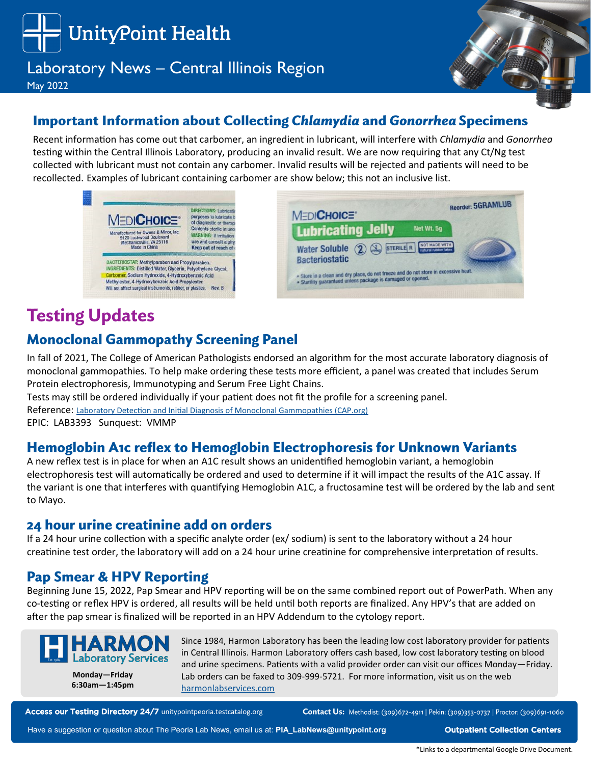

# Laboratory News – Central Illinois Region

May 2022



# **Important Information about Collecting Chlamydia and Gonorrhea Specimens**

Recent information has come out that carbomer, an ingredient in lubricant, will interfere with *Chlamydia* and *Gonorrhea*  testing within the Central Illinois Laboratory, producing an invalid result. We are now requiring that any Ct/Ng test collected with lubricant must not contain any carbomer. Invalid results will be rejected and patients will need to be recollected. Examples of lubricant containing carbomer are show below; this not an inclusive list.



# **Testing Updates**

### **Monoclonal Gammopathy Screening Panel**

In fall of 2021, The College of American Pathologists endorsed an algorithm for the most accurate laboratory diagnosis of monoclonal gammopathies. To help make ordering these tests more efficient, a panel was created that includes Serum Protein electrophoresis, Immunotyping and Serum Free Light Chains.

Tests may still be ordered individually if your patient does not fit the profile for a screening panel.

Reference: [Laboratory Detection and Initial Diagnosis of Monoclonal Gammopathies \(CAP.org\)](https://www.cap.org/protocols-and-guidelines/cap-guidelines/current-cap-guidelines/laboratory-detection-initial-diagnosis-monoclonal-gammopathies)

EPIC: LAB3393 Sunquest: VMMP

### **Hemoglobin A1c reflex to Hemoglobin Electrophoresis for Unknown Variants**

A new reflex test is in place for when an A1C result shows an unidentified hemoglobin variant, a hemoglobin electrophoresis test will automatically be ordered and used to determine if it will impact the results of the A1C assay. If the variant is one that interferes with quantifying Hemoglobin A1C, a fructosamine test will be ordered by the lab and sent to Mayo.

#### 24 hour urine creatinine add on orders

If a 24 hour urine collection with a specific analyte order (ex/ sodium) is sent to the laboratory without a 24 hour creatinine test order, the laboratory will add on a 24 hour urine creatinine for comprehensive interpretation of results.

#### **Pap Smear & HPV Reporting**

Beginning June 15, 2022, Pap Smear and HPV reporting will be on the same combined report out of PowerPath. When any co-testing or reflex HPV is ordered, all results will be held until both reports are finalized. Any HPV's that are added on after the pap smear is finalized will be reported in an HPV Addendum to the cytology report.



**Monday—Friday 6:30am—1:45pm** Since 1984, Harmon Laboratory has been the leading low cost laboratory provider for patients in Central Illinois. Harmon Laboratory offers cash based, low cost laboratory testing on blood and urine specimens. Patients with a valid provider order can visit our offices Monday—Friday. Lab orders can be faxed to 309-999-5721. For more information, visit us on the web [harmonlabservices.com](https://www.unitypoint.org/peoria/harmon-lab.aspx)

Access our Testing Directory 24/7 [unitypointpeoria.testcatalog.org](https://unitypointpeoria.testcatalog.org/)

Contact Us: Methodist: (309)672-4911 | Pekin: (309)353-0737 | Proctor: (309)691-1060

Have a suggestion or question about The Peoria Lab News, email us at: **[PIA\\_LabNews@unitypoint.org](mailto:PIA_LabNews@unitypoint.org) Cullection Centers**